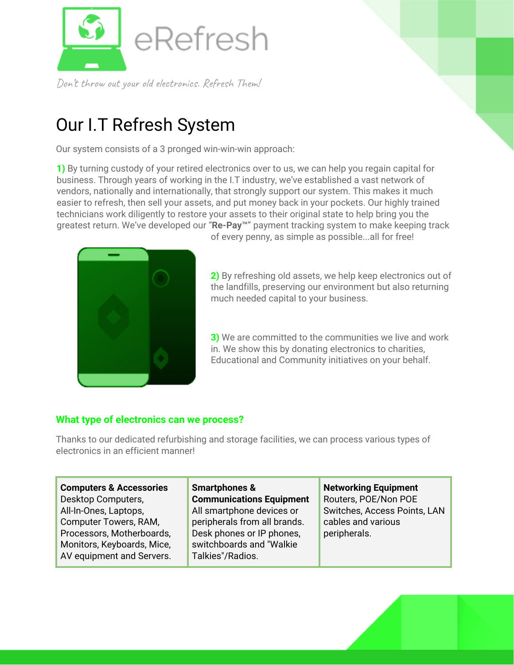

Don't throw out your old electronics. Refresh Them!

# Our I.T Refresh System

Our system consists of a 3 pronged win-win-win approach:

**1)** By turning custody of your retired electronics over to us, we can help you regain capital for business. Through years of working in the I.T industry, we've established a vast network of vendors, nationally and internationally, that strongly support our system. This makes it much easier to refresh, then sell your assets, and put money back in your pockets. Our highly trained technicians work diligently to restore your assets to their original state to help bring you the greatest return. We've developed our "**Re-Pay™**" payment tracking system to make keeping track



of every penny, as simple as possible...all for free!

**2)** By refreshing old assets, we help keep electronics out of the landfills, preserving our environment but also returning much needed capital to your business.

**3)** We are committed to the communities we live and work in. We show this by donating electronics to charities, Educational and Community initiatives on your behalf.

## **What type of electronics can we process?**

Thanks to our dedicated refurbishing and storage facilities, we can process various types of electronics in an efficient manner!

**Computers & Accessories** Desktop Computers, All-In-Ones, Laptops, Computer Towers, RAM, Processors, Motherboards, Monitors, Keyboards, Mice, AV equipment and Servers.

**Smartphones & Communications Equipment** All smartphone devices or peripherals from all brands. Desk phones or IP phones, switchboards and "Walkie Talkies"/Radios.

**Networking Equipment** Routers, POE/Non POE Switches, Access Points, LAN cables and various peripherals.